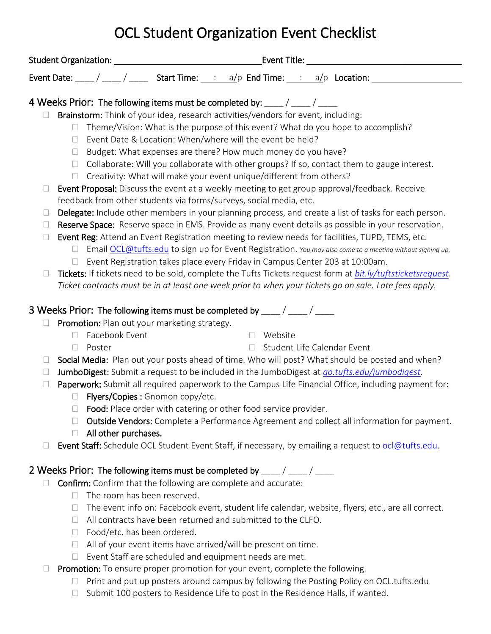# OCL Student Organization Event Checklist

|        |                                                                                                                                                                                                 |                      | 4 Weeks Prior: The following items must be completed by: ____/ ____/ ____         |        |                             |                                                                                                             |
|--------|-------------------------------------------------------------------------------------------------------------------------------------------------------------------------------------------------|----------------------|-----------------------------------------------------------------------------------|--------|-----------------------------|-------------------------------------------------------------------------------------------------------------|
|        |                                                                                                                                                                                                 |                      | Brainstorm: Think of your idea, research activities/vendors for event, including: |        |                             |                                                                                                             |
|        | $\Box$                                                                                                                                                                                          |                      |                                                                                   |        |                             | Theme/Vision: What is the purpose of this event? What do you hope to accomplish?                            |
|        | $\Box$                                                                                                                                                                                          |                      | Event Date & Location: When/where will the event be held?                         |        |                             |                                                                                                             |
|        | $\Box$                                                                                                                                                                                          |                      | Budget: What expenses are there? How much money do you have?                      |        |                             |                                                                                                             |
|        | $\Box$                                                                                                                                                                                          |                      |                                                                                   |        |                             | Collaborate: Will you collaborate with other groups? If so, contact them to gauge interest.                 |
|        | $\Box$                                                                                                                                                                                          |                      | Creativity: What will make your event unique/different from others?               |        |                             |                                                                                                             |
| $\Box$ |                                                                                                                                                                                                 |                      |                                                                                   |        |                             | Event Proposal: Discuss the event at a weekly meeting to get group approval/feedback. Receive               |
|        |                                                                                                                                                                                                 |                      | feedback from other students via forms/surveys, social media, etc.                |        |                             |                                                                                                             |
| $\Box$ |                                                                                                                                                                                                 |                      |                                                                                   |        |                             | Delegate: Include other members in your planning process, and create a list of tasks for each person.       |
| $\Box$ |                                                                                                                                                                                                 |                      |                                                                                   |        |                             | Reserve Space: Reserve space in EMS. Provide as many event details as possible in your reservation.         |
| $\Box$ |                                                                                                                                                                                                 |                      |                                                                                   |        |                             | Event Reg: Attend an Event Registration meeting to review needs for facilities, TUPD, TEMS, etc.            |
|        | $\Box$                                                                                                                                                                                          |                      |                                                                                   |        |                             | Email OCL@tufts.edu to sign up for Event Registration. You may also come to a meeting without signing up.   |
|        | $\Box$                                                                                                                                                                                          |                      | Event Registration takes place every Friday in Campus Center 203 at 10:00am.      |        |                             |                                                                                                             |
| $\Box$ |                                                                                                                                                                                                 |                      |                                                                                   |        |                             | Tickets: If tickets need to be sold, complete the Tufts Tickets request form at bit.ly/tuftsticketsrequest. |
|        |                                                                                                                                                                                                 |                      |                                                                                   |        |                             | Ticket contracts must be in at least one week prior to when your tickets go on sale. Late fees apply.       |
|        |                                                                                                                                                                                                 |                      | 3 Weeks Prior: The following items must be completed by ____/ ____/ ____          |        |                             |                                                                                                             |
|        |                                                                                                                                                                                                 |                      | Promotion: Plan out your marketing strategy.                                      |        |                             |                                                                                                             |
|        | П                                                                                                                                                                                               | Facebook Event       |                                                                                   |        | □ Website                   |                                                                                                             |
|        | $\Box$                                                                                                                                                                                          | Poster               |                                                                                   | $\Box$ | Student Life Calendar Event |                                                                                                             |
| $\Box$ |                                                                                                                                                                                                 |                      |                                                                                   |        |                             |                                                                                                             |
| $\Box$ | Social Media: Plan out your posts ahead of time. Who will post? What should be posted and when?<br>JumboDigest: Submit a request to be included in the JumboDigest at go.tufts.edu/jumbodigest. |                      |                                                                                   |        |                             |                                                                                                             |
| $\Box$ | Paperwork: Submit all required paperwork to the Campus Life Financial Office, including payment for:                                                                                            |                      |                                                                                   |        |                             |                                                                                                             |
|        | $\Box$                                                                                                                                                                                          |                      | Flyers/Copies : Gnomon copy/etc.                                                  |        |                             |                                                                                                             |
|        | $\Box$                                                                                                                                                                                          |                      | Food: Place order with catering or other food service provider.                   |        |                             |                                                                                                             |
|        | $\Box$                                                                                                                                                                                          |                      |                                                                                   |        |                             | Outside Vendors: Complete a Performance Agreement and collect all information for payment.                  |
|        | $\Box$                                                                                                                                                                                          | All other purchases. |                                                                                   |        |                             |                                                                                                             |
|        |                                                                                                                                                                                                 |                      |                                                                                   |        |                             | Event Staff: Schedule OCL Student Event Staff, if necessary, by emailing a request to ocl@tufts.edu.        |
|        |                                                                                                                                                                                                 |                      |                                                                                   |        |                             |                                                                                                             |
|        |                                                                                                                                                                                                 |                      | 2 Weeks Prior: The following items must be completed by ____/ ____/ ____          |        |                             |                                                                                                             |
|        |                                                                                                                                                                                                 |                      | Confirm: Confirm that the following are complete and accurate:                    |        |                             |                                                                                                             |
|        | П.                                                                                                                                                                                              |                      | The room has been reserved.                                                       |        |                             |                                                                                                             |
|        | $\Box$                                                                                                                                                                                          |                      |                                                                                   |        |                             | The event info on: Facebook event, student life calendar, website, flyers, etc., are all correct.           |
|        | $\Box$                                                                                                                                                                                          |                      | All contracts have been returned and submitted to the CLFO.                       |        |                             |                                                                                                             |
|        | $\Box$                                                                                                                                                                                          |                      | Food/etc. has been ordered.                                                       |        |                             |                                                                                                             |

- $\Box$  All of your event items have arrived/will be present on time.
- Event Staff are scheduled and equipment needs are met.
- $\Box$  Promotion: To ensure proper promotion for your event, complete the following.
	- $\Box$  Print and put up posters around campus by following the Posting Policy on OCL.tufts.edu
	- $\Box$  Submit 100 posters to Residence Life to post in the Residence Halls, if wanted.